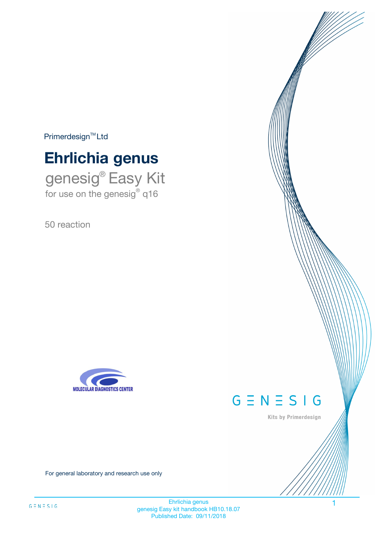$Primerdesign^{\text{TM}}Ltd$ 

# **Ehrlichia genus**

genesig® Easy Kit for use on the genesig® q16

50 reaction





Kits by Primerdesign

For general laboratory and research use only

Ehrlichia genus 1 genesig Easy kit handbook HB10.18.07 Published Date: 09/11/2018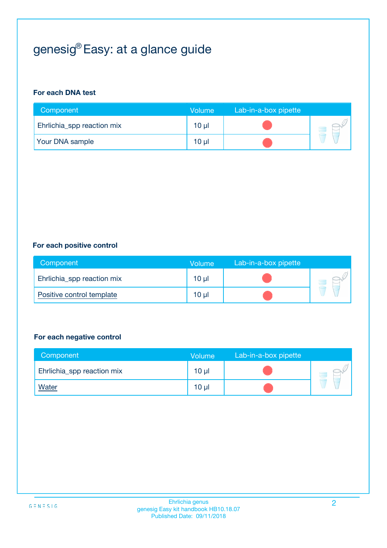# genesig® Easy: at a glance guide

#### **For each DNA test**

| Component                  | <b>Volume</b> | Lab-in-a-box pipette |  |
|----------------------------|---------------|----------------------|--|
| Ehrlichia_spp reaction mix | $10 \mu$      |                      |  |
| <b>Your DNA sample</b>     | 10 µl         |                      |  |

#### **For each positive control**

| Component                  | Volume          | Lab-in-a-box pipette |  |
|----------------------------|-----------------|----------------------|--|
| Ehrlichia_spp reaction mix | $10 \mu$        |                      |  |
| Positive control template  | 10 <sub>µ</sub> |                      |  |

#### **For each negative control**

| Component                  | <b>Volume</b>   | Lab-in-a-box pipette |  |
|----------------------------|-----------------|----------------------|--|
| Ehrlichia_spp reaction mix | 10 <sub>µ</sub> |                      |  |
| <u>Water</u>               | 10 <sub>µ</sub> |                      |  |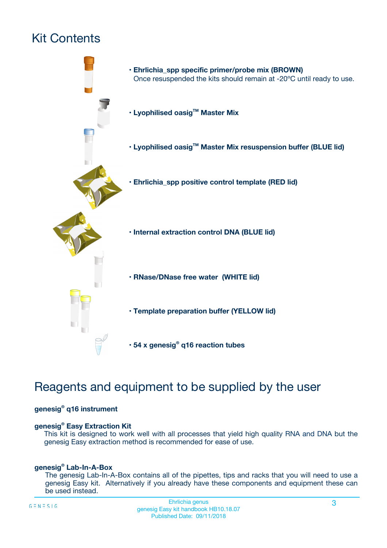# Kit Contents



# Reagents and equipment to be supplied by the user

#### **genesig® q16 instrument**

#### **genesig® Easy Extraction Kit**

This kit is designed to work well with all processes that yield high quality RNA and DNA but the genesig Easy extraction method is recommended for ease of use.

#### **genesig® Lab-In-A-Box**

The genesig Lab-In-A-Box contains all of the pipettes, tips and racks that you will need to use a genesig Easy kit. Alternatively if you already have these components and equipment these can be used instead.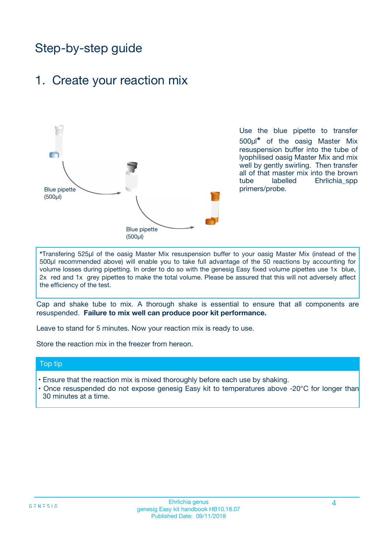# Step-by-step guide

### 1. Create your reaction mix



Use the blue pipette to transfer 500µl**\*** of the oasig Master Mix resuspension buffer into the tube of lyophilised oasig Master Mix and mix well by gently swirling. Then transfer all of that master mix into the brown tube labelled Ehrlichia\_spp primers/probe.

**\***Transfering 525µl of the oasig Master Mix resuspension buffer to your oasig Master Mix (instead of the 500µl recommended above) will enable you to take full advantage of the 50 reactions by accounting for volume losses during pipetting. In order to do so with the genesig Easy fixed volume pipettes use 1x blue, 2x red and 1x grey pipettes to make the total volume. Please be assured that this will not adversely affect the efficiency of the test.

Cap and shake tube to mix. A thorough shake is essential to ensure that all components are resuspended. **Failure to mix well can produce poor kit performance.**

Leave to stand for 5 minutes. Now your reaction mix is ready to use.

Store the reaction mix in the freezer from hereon.

#### Top tip

- Ensure that the reaction mix is mixed thoroughly before each use by shaking.
- Once resuspended do not expose genesig Easy kit to temperatures above -20°C for longer than 30 minutes at a time.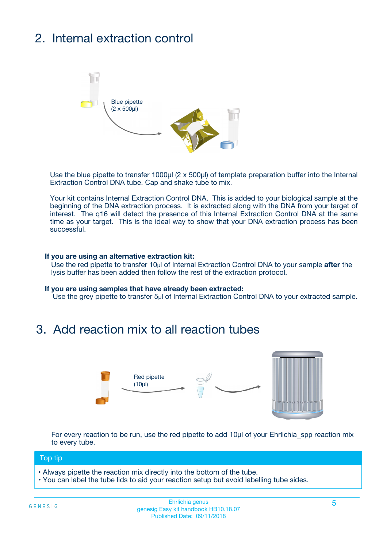# 2. Internal extraction control



Use the blue pipette to transfer 1000µl (2 x 500µl) of template preparation buffer into the Internal Extraction Control DNA tube. Cap and shake tube to mix.

Your kit contains Internal Extraction Control DNA. This is added to your biological sample at the beginning of the DNA extraction process. It is extracted along with the DNA from your target of interest. The q16 will detect the presence of this Internal Extraction Control DNA at the same time as your target. This is the ideal way to show that your DNA extraction process has been successful.

#### **If you are using an alternative extraction kit:**

Use the red pipette to transfer 10µl of Internal Extraction Control DNA to your sample **after** the lysis buffer has been added then follow the rest of the extraction protocol.

#### **If you are using samples that have already been extracted:**

Use the grey pipette to transfer 5µl of Internal Extraction Control DNA to your extracted sample.

### 3. Add reaction mix to all reaction tubes



For every reaction to be run, use the red pipette to add 10µl of your Ehrlichia spp reaction mix to every tube.

#### Top tip

- Always pipette the reaction mix directly into the bottom of the tube.
- You can label the tube lids to aid your reaction setup but avoid labelling tube sides.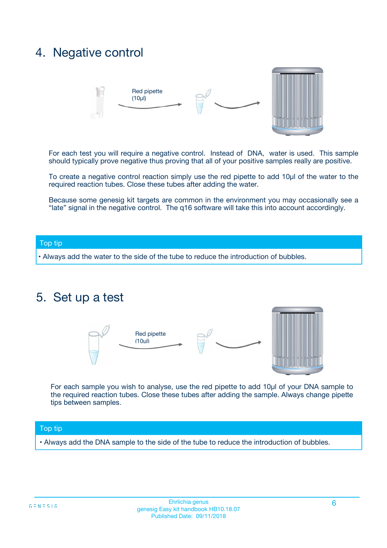### 4. Negative control



For each test you will require a negative control. Instead of DNA, water is used. This sample should typically prove negative thus proving that all of your positive samples really are positive.

To create a negative control reaction simply use the red pipette to add 10µl of the water to the required reaction tubes. Close these tubes after adding the water.

Because some genesig kit targets are common in the environment you may occasionally see a "late" signal in the negative control. The q16 software will take this into account accordingly.

#### Top tip

**•** Always add the water to the side of the tube to reduce the introduction of bubbles.

### 5. Set up a test



For each sample you wish to analyse, use the red pipette to add 10µl of your DNA sample to the required reaction tubes. Close these tubes after adding the sample. Always change pipette tips between samples.

#### Top tip

**•** Always add the DNA sample to the side of the tube to reduce the introduction of bubbles.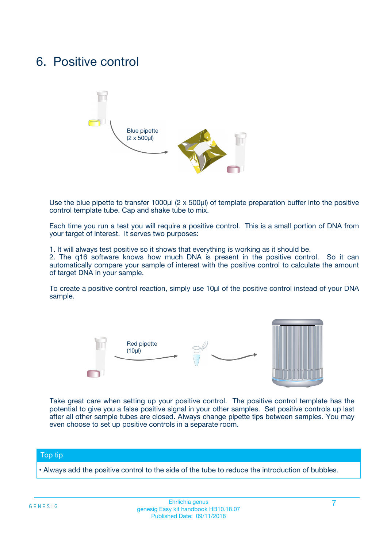### 6. Positive control



Use the blue pipette to transfer 1000µl (2 x 500µl) of template preparation buffer into the positive control template tube. Cap and shake tube to mix.

Each time you run a test you will require a positive control. This is a small portion of DNA from your target of interest. It serves two purposes:

1. It will always test positive so it shows that everything is working as it should be.

2. The q16 software knows how much DNA is present in the positive control. So it can automatically compare your sample of interest with the positive control to calculate the amount of target DNA in your sample.

To create a positive control reaction, simply use 10µl of the positive control instead of your DNA sample.



Take great care when setting up your positive control. The positive control template has the potential to give you a false positive signal in your other samples. Set positive controls up last after all other sample tubes are closed. Always change pipette tips between samples. You may even choose to set up positive controls in a separate room.

#### Top tip

**•** Always add the positive control to the side of the tube to reduce the introduction of bubbles.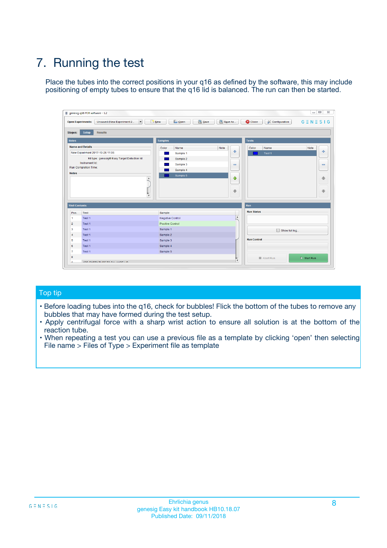# 7. Running the test

Place the tubes into the correct positions in your q16 as defined by the software, this may include positioning of empty tubes to ensure that the q16 lid is balanced. The run can then be started.

| qenesig q16 PCR software - 1.2                                               |                                   | $\Box$                                                                                          |
|------------------------------------------------------------------------------|-----------------------------------|-------------------------------------------------------------------------------------------------|
| $\vert \cdot \vert$<br>Unsaved (New Experiment 2<br><b>Open Experiments:</b> | <b>D</b> Open<br>R <sub>New</sub> | Save<br>Save As<br><b>C</b> Close<br><b>&amp; Configuration</b><br>$G \equiv N \equiv S \mid G$ |
| <b>Setup</b><br><b>Results</b><br>Stages:                                    |                                   |                                                                                                 |
| <b>Notes</b>                                                                 | <b>Samples</b>                    | <b>Tests</b>                                                                                    |
| <b>Name and Details</b>                                                      | Name<br>Color                     | Note<br>Color<br>Note<br>Name                                                                   |
| New Experiment 2017-10-26 11:06                                              | Sample 1                          | ÷<br>条<br>Test 1                                                                                |
| Kit type: genesig® Easy Target Detection kit                                 | Sample 2                          |                                                                                                 |
| Instrument Id.:                                                              | Sample 3                          | $\qquad \qquad \blacksquare$<br>$\qquad \qquad \blacksquare$                                    |
| <b>Run Completion Time:</b>                                                  | Sample 4                          |                                                                                                 |
| <b>Notes</b><br><b>A</b><br>$\overline{\mathbf v}$                           | Sample 5                          | ♦<br>4<br>÷<br>₩                                                                                |
| <b>Well Contents</b>                                                         |                                   | <b>Run</b>                                                                                      |
| Pos.<br>Test                                                                 | Sample                            | <b>Run Status</b>                                                                               |
| Test 1<br>$\blacktriangleleft$                                               | Negative Control                  | $\blacktriangle$                                                                                |
| $\overline{2}$<br>Test 1                                                     | <b>Positive Control</b>           |                                                                                                 |
| $\overline{\mathbf{3}}$<br>Test 1                                            | Sample 1                          | Show full log                                                                                   |
| Test 1<br>4                                                                  | Sample 2                          |                                                                                                 |
| 5<br>Test 1                                                                  | Sample 3                          | <b>Run Control</b>                                                                              |
| Test 1<br>6                                                                  | Sample 4                          |                                                                                                 |
| $\overline{7}$<br>Test 1                                                     | Sample 5                          |                                                                                                 |
| 8                                                                            |                                   | $\triangleright$ Start Run<br>Abort Run                                                         |
| <b>JOD FURTY TUDE TO BUILDED IN</b>                                          |                                   | $\overline{\mathbf{v}}$                                                                         |

#### Top tip

- Before loading tubes into the q16, check for bubbles! Flick the bottom of the tubes to remove any bubbles that may have formed during the test setup.
- Apply centrifugal force with a sharp wrist action to ensure all solution is at the bottom of the reaction tube.
- When repeating a test you can use a previous file as a template by clicking 'open' then selecting File name > Files of Type > Experiment file as template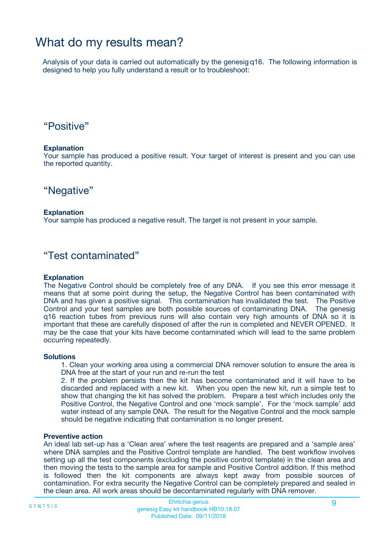### What do my results mean?

Analysis of your data is carried out automatically by the genesig q16. The following information is designed to help you fully understand a result or to troubleshoot:

### "Positive"

#### **Explanation**

Your sample has produced a positive result. Your target of interest is present and you can use the reported quantity.

"Negative"

#### **Explanation**

Your sample has produced a negative result. The target is not present in your sample.

### "Test contaminated"

#### **Explanation**

The Negative Control should be completely free of any DNA. If you see this error message it means that at some point during the setup, the Negative Control has been contaminated with DNA and has given a positive signal. This contamination has invalidated the test. The Positive Control and your test samples are both possible sources of contaminating DNA. The genesig q16 reaction tubes from previous runs will also contain very high amounts of DNA so it is important that these are carefully disposed of after the run is completed and NEVER OPENED. It may be the case that your kits have become contaminated which will lead to the same problem occurring repeatedly.

#### **Solutions**

1. Clean your working area using a commercial DNA remover solution to ensure the area is DNA free at the start of your run and re-run the test

2. If the problem persists then the kit has become contaminated and it will have to be discarded and replaced with a new kit. When you open the new kit, run a simple test to show that changing the kit has solved the problem. Prepare a test which includes only the Positive Control, the Negative Control and one 'mock sample'. For the 'mock sample' add water instead of any sample DNA. The result for the Negative Control and the mock sample should be negative indicating that contamination is no longer present.

#### **Preventive action**

An ideal lab set-up has a 'Clean area' where the test reagents are prepared and a 'sample area' where DNA samples and the Positive Control template are handled. The best workflow involves setting up all the test components (excluding the positive control template) in the clean area and then moving the tests to the sample area for sample and Positive Control addition. If this method is followed then the kit components are always kept away from possible sources of contamination. For extra security the Negative Control can be completely prepared and sealed in the clean area. All work areas should be decontaminated regularly with DNA remover.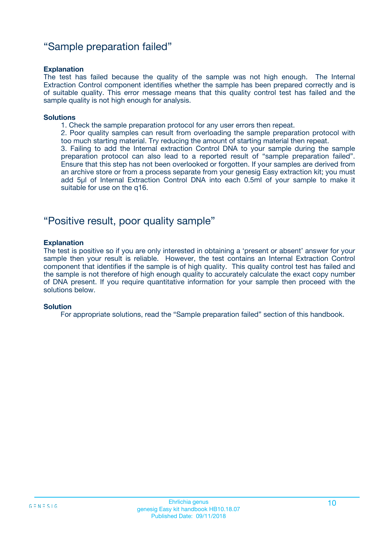### "Sample preparation failed"

#### **Explanation**

The test has failed because the quality of the sample was not high enough. The Internal Extraction Control component identifies whether the sample has been prepared correctly and is of suitable quality. This error message means that this quality control test has failed and the sample quality is not high enough for analysis.

#### **Solutions**

1. Check the sample preparation protocol for any user errors then repeat.

2. Poor quality samples can result from overloading the sample preparation protocol with too much starting material. Try reducing the amount of starting material then repeat.

3. Failing to add the Internal extraction Control DNA to your sample during the sample preparation protocol can also lead to a reported result of "sample preparation failed". Ensure that this step has not been overlooked or forgotten. If your samples are derived from an archive store or from a process separate from your genesig Easy extraction kit; you must add 5µl of Internal Extraction Control DNA into each 0.5ml of your sample to make it suitable for use on the q16.

### "Positive result, poor quality sample"

#### **Explanation**

The test is positive so if you are only interested in obtaining a 'present or absent' answer for your sample then your result is reliable. However, the test contains an Internal Extraction Control component that identifies if the sample is of high quality. This quality control test has failed and the sample is not therefore of high enough quality to accurately calculate the exact copy number of DNA present. If you require quantitative information for your sample then proceed with the solutions below.

#### **Solution**

For appropriate solutions, read the "Sample preparation failed" section of this handbook.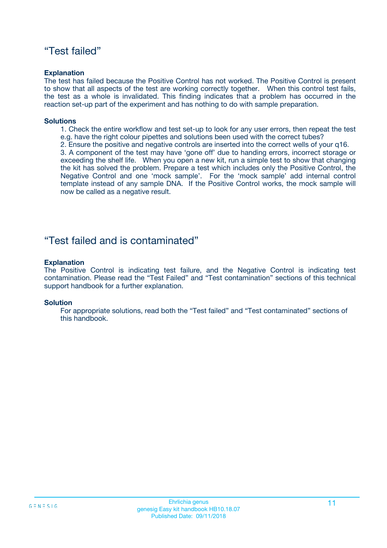### "Test failed"

#### **Explanation**

The test has failed because the Positive Control has not worked. The Positive Control is present to show that all aspects of the test are working correctly together. When this control test fails, the test as a whole is invalidated. This finding indicates that a problem has occurred in the reaction set-up part of the experiment and has nothing to do with sample preparation.

#### **Solutions**

- 1. Check the entire workflow and test set-up to look for any user errors, then repeat the test e.g. have the right colour pipettes and solutions been used with the correct tubes?
- 2. Ensure the positive and negative controls are inserted into the correct wells of your q16.

3. A component of the test may have 'gone off' due to handing errors, incorrect storage or exceeding the shelf life. When you open a new kit, run a simple test to show that changing the kit has solved the problem. Prepare a test which includes only the Positive Control, the Negative Control and one 'mock sample'. For the 'mock sample' add internal control template instead of any sample DNA. If the Positive Control works, the mock sample will now be called as a negative result.

### "Test failed and is contaminated"

#### **Explanation**

The Positive Control is indicating test failure, and the Negative Control is indicating test contamination. Please read the "Test Failed" and "Test contamination" sections of this technical support handbook for a further explanation.

#### **Solution**

For appropriate solutions, read both the "Test failed" and "Test contaminated" sections of this handbook.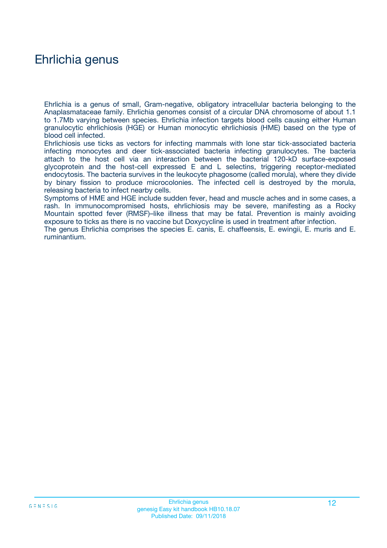### Ehrlichia genus

Ehrlichia is a genus of small, Gram-negative, obligatory intracellular bacteria belonging to the Anaplasmataceae family. Ehrlichia genomes consist of a circular DNA chromosome of about 1.1 to 1.7Mb varying between species. Ehrlichia infection targets blood cells causing either Human granulocytic ehrlichiosis (HGE) or Human monocytic ehrlichiosis (HME) based on the type of blood cell infected.

Ehrlichiosis use ticks as vectors for infecting mammals with lone star tick-associated bacteria infecting monocytes and deer tick-associated bacteria infecting granulocytes. The bacteria attach to the host cell via an interaction between the bacterial 120-kD surface-exposed glycoprotein and the host-cell expressed E and L selectins, triggering receptor-mediated endocytosis. The bacteria survives in the leukocyte phagosome (called morula), where they divide by binary fission to produce microcolonies. The infected cell is destroyed by the morula, releasing bacteria to infect nearby cells.

Symptoms of HME and HGE include sudden fever, head and muscle aches and in some cases, a rash. In immunocompromised hosts, ehrlichiosis may be severe, manifesting as a Rocky Mountain spotted fever (RMSF)–like illness that may be fatal. Prevention is mainly avoiding exposure to ticks as there is no vaccine but Doxycycline is used in treatment after infection.

The genus Ehrlichia comprises the species E. canis, E. chaffeensis, E. ewingii, E. muris and E. ruminantium.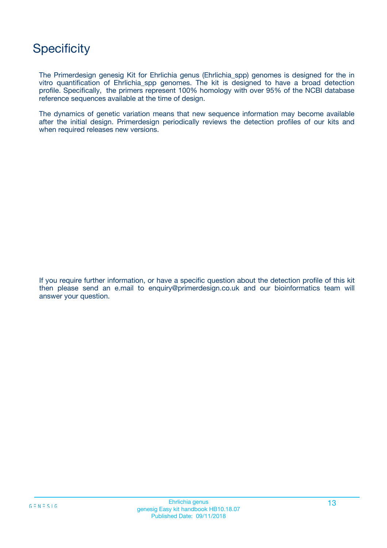# **Specificity**

The Primerdesign genesig Kit for Ehrlichia genus (Ehrlichia\_spp) genomes is designed for the in vitro quantification of Ehrlichia\_spp genomes. The kit is designed to have a broad detection profile. Specifically, the primers represent 100% homology with over 95% of the NCBI database reference sequences available at the time of design.

The dynamics of genetic variation means that new sequence information may become available after the initial design. Primerdesign periodically reviews the detection profiles of our kits and when required releases new versions.

If you require further information, or have a specific question about the detection profile of this kit then please send an e.mail to enquiry@primerdesign.co.uk and our bioinformatics team will answer your question.